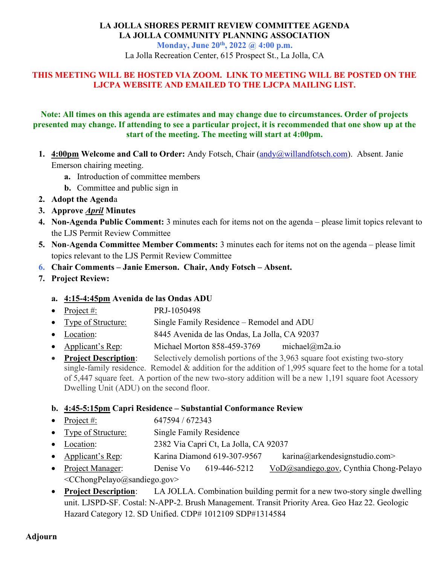# LA JOLLA SHORES PERMIT REVIEW COMMITTEE AGENDA LA JOLLA COMMUNITY PLANNING ASSOCIATION Monday, June 20<sup>th</sup>, 2022 @ 4:00 p.m.

La Jolla Recreation Center, 615 Prospect St., La Jolla, CA

# THIS MEETING WILL BE HOSTED VIA ZOOM. LINK TO MEETING WILL BE POSTED ON THE LJCPA WEBSITE AND EMAILED TO THE LJCPA MAILING LIST.

### Note: All times on this agenda are estimates and may change due to circumstances. Order of projects presented may change. If attending to see a particular project, it is recommended that one show up at the start of the meeting. The meeting will start at 4:00pm.

- 1. 4:00pm Welcome and Call to Order: Andy Fotsch, Chair (andy@willandfotsch.com). Absent. Janie Emerson chairing meeting.
	- a. Introduction of committee members
	- b. Committee and public sign in
- 2. Adopt the Agenda
- 3. Approve **April Minutes**
- 4. Non-Agenda Public Comment: 3 minutes each for items not on the agenda please limit topics relevant to the LJS Permit Review Committee
- 5. Non-Agenda Committee Member Comments: 3 minutes each for items not on the agenda please limit topics relevant to the LJS Permit Review Committee
- 6. Chair Comments Janie Emerson. Chair, Andy Fotsch Absent.
- 7. Project Review:

# a. 4:15-4:45pm Avenida de las Ondas ADU

- Project  $\#$ : PRJ-1050498
- Type of Structure: Single Family Residence Remodel and ADU
- Location: 8445 Avenida de las Ondas, La Jolla, CA 92037
- Applicant's Rep: Michael Morton 858-459-3769 michael@m2a.io
- Project Description: Selectively demolish portions of the 3,963 square foot existing two-story single-family residence. Remodel & addition for the addition of 1,995 square feet to the home for a total of 5,447 square feet. A portion of the new two-story addition will be a new 1,191 square foot Acessory Dwelling Unit (ADU) on the second floor.

### b. 4:45-5:15pm Capri Residence – Substantial Conformance Review

- Project #: 647594 / 672343
- Type of Structure: Single Family Residence
- Location: 2382 Via Capri Ct, La Jolla, CA 92037
- Applicant's Rep: Karina Diamond 619-307-9567 karina@arkendesignstudio.com>
- Project Manager: Denise Vo 619-446-5212 VoD@sandiego.gov, Cynthia Chong-Pelayo <CChongPelayo@sandiego.gov>
- Project Description: LA JOLLA. Combination building permit for a new two-story single dwelling unit. LJSPD-SF. Costal: N-APP-2. Brush Management. Transit Priority Area. Geo Haz 22. Geologic Hazard Category 12. SD Unified. CDP# 1012109 SDP#1314584